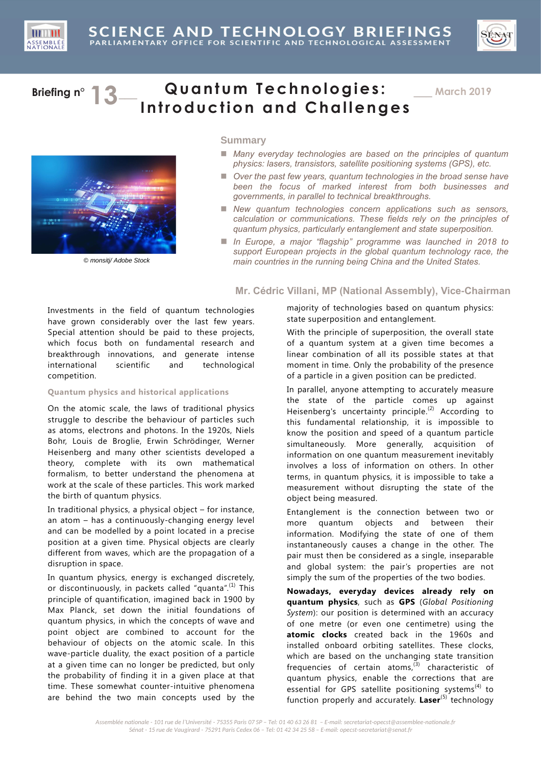



# **Briefing n° 12** Quantum Technologies: **Introduction and Challenges**

\_\_\_ **March 2019**



© monsitj/ Adobe Stock

## **Summary**

- Many everyday technologies are based on the principles of quantum *physics: lasers, transistors, satellite positioning systems (GPS), etc.*
- *Over the past few years, quantum technologies in the broad sense have been the focus of marked interest from both businesses and governments, in parallel to technical breakthroughs.*
- New quantum technologies concern applications such as sensors, *calculation or communications. These fields rely on the principles of quantum physics, particularly entanglement and state superposition.*
- In Europe, a major "flagship" programme was launched in 2018 to *support European projects in the global quantum technology race, the main countries in the running being China and the United States.*

## **Mr. Cédric Villani, MP (National Assembly), Vice-Chairman**

Investments in the field of quantum technologies have grown considerably over the last few years. Special attention should be paid to these projects, which focus both on fundamental research and breakthrough innovations, and generate intense international scientific and technological competition.

## **Quantum physics and historical applications**

On the atomic scale, the laws of traditional physics struggle to describe the behaviour of particles such as atoms, electrons and photons. In the 1920s, Niels Bohr, Louis de Broglie, Erwin Schrödinger, Werner Heisenberg and many other scientists developed a theory, complete with its own mathematical formalism, to better understand the phenomena at work at the scale of these particles. This work marked the birth of quantum physics.

In traditional physics, a physical object – for instance, an atom – has a continuously-changing energy level and can be modelled by a point located in a precise position at a given time. Physical objects are clearly different from waves, which are the propagation of a disruption in space.

In quantum physics, energy is exchanged discretely, or discontinuously, in packets called "quanta".<sup>(1)</sup> This principle of quantification, imagined back in 1900 by Max Planck, set down the initial foundations of quantum physics, in which the concepts of wave and point object are combined to account for the behaviour of objects on the atomic scale. In this wave-particle duality, the exact position of a particle at a given time can no longer be predicted, but only the probability of finding it in a given place at that time. These somewhat counter-intuitive phenomena are behind the two main concepts used by the majority of technologies based on quantum physics: state superposition and entanglement.

With the principle of superposition, the overall state of a quantum system at a given time becomes a linear combination of all its possible states at that moment in time. Only the probability of the presence of a particle in a given position can be predicted.

In parallel, anyone attempting to accurately measure the state of the particle comes up against Heisenberg's uncertainty principle.<sup>(2)</sup> According to this fundamental relationship, it is impossible to know the position and speed of a quantum particle simultaneously. More generally, acquisition of information on one quantum measurement inevitably involves a loss of information on others. In other terms, in quantum physics, it is impossible to take a measurement without disrupting the state of the object being measured.

Entanglement is the connection between two or more quantum objects and between their information. Modifying the state of one of them instantaneously causes a change in the other. The pair must then be considered as a single, inseparable and global system: the pair's properties are not simply the sum of the properties of the two bodies.

**Nowadays, everyday devices already rely on quantum physics**, such as **GPS** (*Global Positioning System*): our position is determined with an accuracy of one metre (or even one centimetre) using the **atomic clocks** created back in the 1960s and installed onboard orbiting satellites. These clocks, which are based on the unchanging state transition frequencies of certain atoms, $^{(3)}$  characteristic of quantum physics, enable the corrections that are essential for GPS satellite positioning systems<sup>(4)</sup> to function properly and accurately. Laser<sup>(5)</sup> technology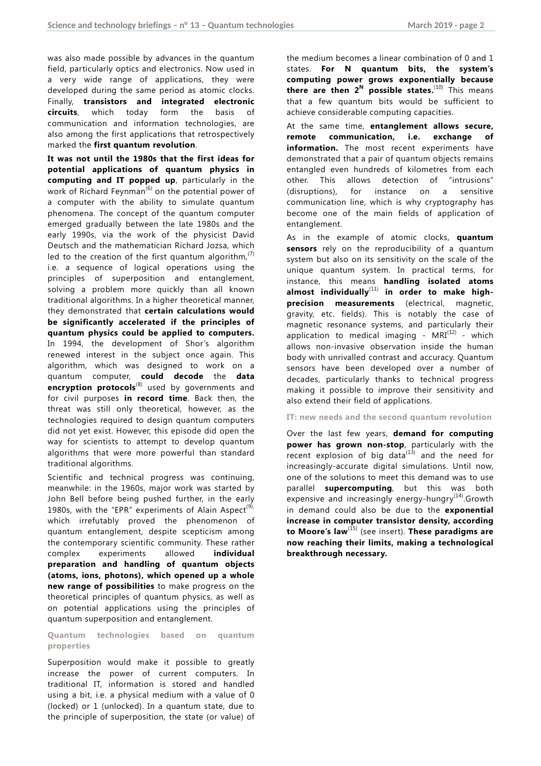was also made possible by advances in the quantum field, particularly optics and electronics. Now used in a very wide range of applications, they were developed during the same period as atomic clocks. Finally, **transistors and integrated electronic circuits**, which today form the basis of communication and information technologies, are also among the first applications that retrospectively marked the **first quantum revolution**.

**It was not until the 1980s that the first ideas for potential applications of quantum physics in computing and IT popped up**, particularly in the work of Richard Feynman<sup> $(6)$ </sup> on the potential power of a computer with the ability to simulate quantum phenomena. The concept of the quantum computer emerged gradually between the late 1980s and the early 1990s, via the work of the physicist David Deutsch and the mathematician Richard Jozsa, which led to the creation of the first quantum algorithm, $(7)$ i.e. a sequence of logical operations using the principles of superposition and entanglement, solving a problem more quickly than all known traditional algorithms. In a higher theoretical manner, they demonstrated that **certain calculations would be significantly accelerated if the principles of quantum physics could be applied to computers.**  In 1994, the development of Shor's algorithm renewed interest in the subject once again. This algorithm, which was designed to work on a quantum computer, **could decode** the **data encryption protocols**<sup>(8)</sup> used by governments and for civil purposes **in record time**. Back then, the threat was still only theoretical, however, as the technologies required to design quantum computers did not yet exist. However, this episode did open the way for scientists to attempt to develop quantum algorithms that were more powerful than standard traditional algorithms.

Scientific and technical progress was continuing, meanwhile: in the 1960s, major work was started by John Bell before being pushed further, in the early 1980s, with the "EPR" experiments of Alain Aspect<sup>(9),</sup> which irrefutably proved the phenomenon of quantum entanglement, despite scepticism among the contemporary scientific community. These rather complex experiments allowed **individual preparation and handling of quantum objects (atoms, ions, photons), which opened up a whole new range of possibilities** to make progress on the theoretical principles of quantum physics, as well as on potential applications using the principles of quantum superposition and entanglement.

**Quantum technologies based on quantum properties** 

Superposition would make it possible to greatly increase the power of current computers. In traditional IT, information is stored and handled using a bit, i.e. a physical medium with a value of 0 (locked) or 1 (unlocked). In a quantum state, due to the principle of superposition, the state (or value) of the medium becomes a linear combination of 0 and 1 states. **For N quantum bits, the system's computing power grows exponentially because there are then 2<sup>N</sup> possible states.**(10) This means that a few quantum bits would be sufficient to achieve considerable computing capacities.

At the same time, **entanglement allows secure, remote communication, i.e. exchange of information.** The most recent experiments have demonstrated that a pair of quantum objects remains entangled even hundreds of kilometres from each other. This allows detection of "intrusions" (disruptions), for instance on a sensitive communication line, which is why cryptography has become one of the main fields of application of entanglement.

As in the example of atomic clocks, **quantum sensors** rely on the reproducibility of a quantum system but also on its sensitivity on the scale of the unique quantum system. In practical terms, for instance, this means **handling isolated atoms almost individually**(11) **in order to make highprecision measurements** (electrical, magnetic, gravity, etc. fields). This is notably the case of magnetic resonance systems, and particularly their application to medical imaging -  $MRI^{(12)}$  - which allows non-invasive observation inside the human body with unrivalled contrast and accuracy. Quantum sensors have been developed over a number of decades, particularly thanks to technical progress making it possible to improve their sensitivity and also extend their field of applications.

**IT: new needs and the second quantum revolution** 

Over the last few years, **demand for computing power has grown non-stop**, particularly with the recent explosion of big data $^{(13)}$  and the need for increasingly-accurate digital simulations. Until now, one of the solutions to meet this demand was to use parallel **supercomputing**, but this was both expensive and increasingly energy-hungry $(14)$ . Growth in demand could also be due to the **exponential increase in computer transistor density, according to Moore's law**(15) (see insert). **These paradigms are now reaching their limits, making a technological breakthrough necessary.**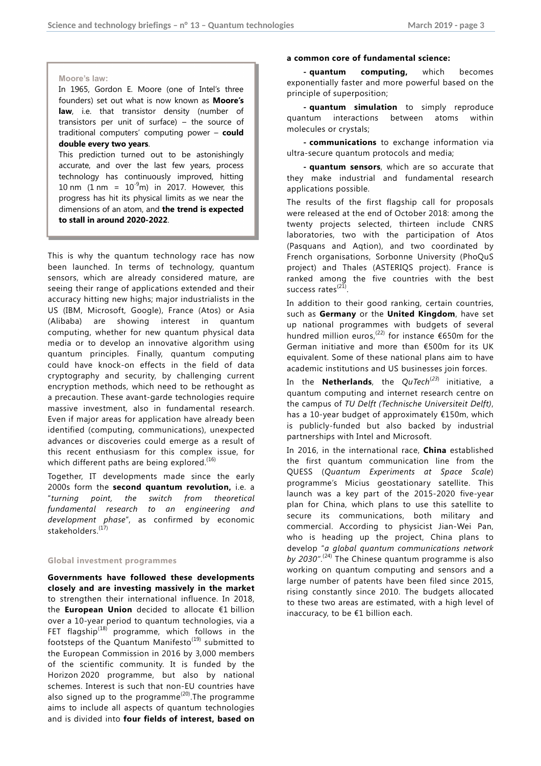#### **Moore's law:**

In 1965, Gordon E. Moore (one of Intel's three founders) set out what is now known as **Moore's law**, i.e. that transistor density (number of transistors per unit of surface) – the source of traditional computers' computing power – **could double every two years**.

This prediction turned out to be astonishingly accurate, and over the last few years, process technology has continuously improved, hitting 10 nm (1 nm =  $10^{-9}$ m) in 2017. However, this progress has hit its physical limits as we near the dimensions of an atom, and **the trend is expected to stall in around 2020-2022**.

This is why the quantum technology race has now been launched. In terms of technology, quantum sensors, which are already considered mature, are seeing their range of applications extended and their accuracy hitting new highs; major industrialists in the US (IBM, Microsoft, Google), France (Atos) or Asia (Alibaba) are showing interest in quantum computing, whether for new quantum physical data media or to develop an innovative algorithm using quantum principles. Finally, quantum computing could have knock-on effects in the field of data cryptography and security, by challenging current encryption methods, which need to be rethought as a precaution. These avant-garde technologies require massive investment, also in fundamental research. Even if major areas for application have already been identified (computing, communications), unexpected advances or discoveries could emerge as a result of this recent enthusiasm for this complex issue, for which different paths are being explored.<sup>(16)</sup>

Together, IT developments made since the early 2000s form the **second quantum revolution,** i.e. a "*turning point, the switch from theoretical fundamental research to an engineering and development phase*", as confirmed by economic stakeholders. (17)

## **Global investment programmes**

**Governments have followed these developments closely and are investing massively in the market** to strengthen their international influence. In 2018, the **European Union** decided to allocate €1 billion over a 10-year period to quantum technologies, via a FET flagship $^{(18)}$  programme, which follows in the footsteps of the Quantum Manifesto<sup>(19)</sup> submitted to the European Commission in 2016 by 3,000 members of the scientific community. It is funded by the Horizon 2020 programme, but also by national schemes. Interest is such that non-EU countries have also signed up to the programme<sup> $(20)$ </sup>. The programme aims to include all aspects of quantum technologies and is divided into **four fields of interest, based on** 

#### **a common core of fundamental science:**

**- quantum computing,** which becomes exponentially faster and more powerful based on the principle of superposition;

**- quantum simulation** to simply reproduce quantum interactions between atoms within molecules or crystals;

**- communications** to exchange information via ultra-secure quantum protocols and media;

**- quantum sensors**, which are so accurate that they make industrial and fundamental research applications possible.

The results of the first flagship call for proposals were released at the end of October 2018: among the twenty projects selected, thirteen include CNRS laboratories, two with the participation of Atos (Pasquans and Aqtion), and two coordinated by French organisations, Sorbonne University (PhoQuS project) and Thales (ASTERIQS project). France is ranked among the five countries with the best success rates<sup>(21)</sup>.

In addition to their good ranking, certain countries, such as **Germany** or the **United Kingdom**, have set up national programmes with budgets of several hundred million euros,<sup>(22)</sup> for instance  $\epsilon$ 650m for the German initiative and more than €500m for its UK equivalent. Some of these national plans aim to have academic institutions and US businesses join forces.

In the **Netherlands**, the *QuTech<sup>(23)</sup>* initiative, a quantum computing and internet research centre on the campus of *TU Delft (Technische Universiteit Delft)*, has a 10-year budget of approximately €150m, which is publicly-funded but also backed by industrial partnerships with Intel and Microsoft.

In 2016, in the international race, **China** established the first quantum communication line from the QUESS (*Quantum Experiments at Space Scale*) programme's Micius geostationary satellite. This launch was a key part of the 2015-2020 five-year plan for China, which plans to use this satellite to secure its communications, both military and commercial. According to physicist Jian-Wei Pan, who is heading up the project, China plans to develop "*a global quantum communications network by 2030"*. (24) The Chinese quantum programme is also working on quantum computing and sensors and a large number of patents have been filed since 2015, rising constantly since 2010. The budgets allocated to these two areas are estimated, with a high level of inaccuracy, to be €1 billion each.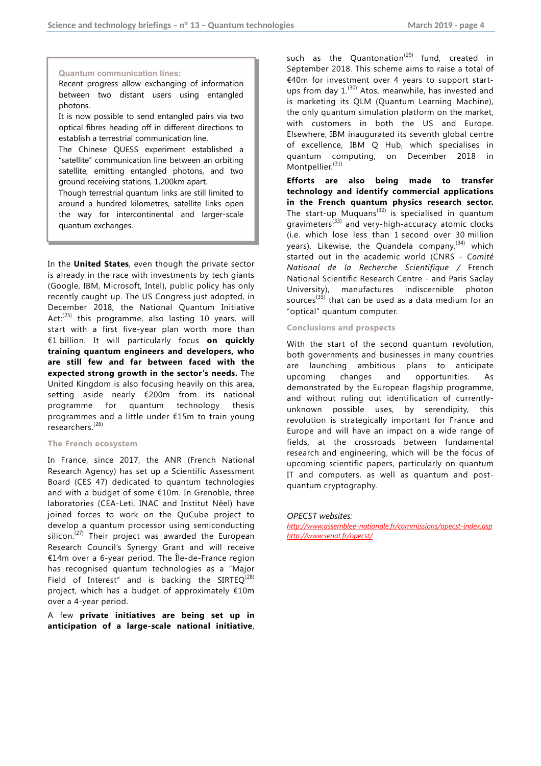## **Quantum communication lines:**

Recent progress allow exchanging of information between two distant users using entangled photons.

It is now possible to send entangled pairs via two optical fibres heading off in different directions to establish a terrestrial communication line.

The Chinese QUESS experiment established a "satellite" communication line between an orbiting satellite, emitting entangled photons, and two ground receiving stations, 1,200km apart.

Though terrestrial quantum links are still limited to around a hundred kilometres, satellite links open the way for intercontinental and larger-scale quantum exchanges.

In the **United States**, even though the private sector is already in the race with investments by tech giants (Google, IBM, Microsoft, Intel), public policy has only recently caught up. The US Congress just adopted, in December 2018, the National Quantum Initiative Act: $(25)$  this programme, also lasting 10 years, will start with a first five-year plan worth more than €1 billion. It will particularly focus **on quickly training quantum engineers and developers, who are still few and far between faced with the expected strong growth in the sector's needs.** The United Kingdom is also focusing heavily on this area, setting aside nearly €200m from its national programme for quantum technology thesis programmes and a little under €15m to train young researchers.(26)

## **The French ecosystem**

In France, since 2017, the ANR (French National Research Agency) has set up a Scientific Assessment Board (CES 47) dedicated to quantum technologies and with a budget of some €10m. In Grenoble, three laboratories (CEA-Leti, INAC and Institut Néel) have joined forces to work on the QuCube project to develop a quantum processor using semiconducting silicon.<sup> $(27)$ </sup> Their project was awarded the European Research Council's Synergy Grant and will receive €14m over a 6-year period. The Île-de-France region has recognised quantum technologies as a "Major Field of Interest" and is backing the SIRTEQ<sup>(28)</sup> project, which has a budget of approximately €10m over a 4-year period.

A few **private initiatives are being set up in anticipation of a large-scale national initiative**, such as the Quantonation<sup>(29)</sup> fund, created in September 2018. This scheme aims to raise a total of €40m for investment over 4 years to support startups from day 1.<sup>(30)</sup> Atos, meanwhile, has invested and is marketing its QLM (Quantum Learning Machine), the only quantum simulation platform on the market, with customers in both the US and Europe. Elsewhere, IBM inaugurated its seventh global centre of excellence, IBM Q Hub, which specialises in quantum computing, on December 2018 in Montpellier.<sup>(31)</sup>

**Efforts are also being made to transfer technology and identify commercial applications in the French quantum physics research sector.** The start-up Muquans<sup>(32)</sup> is specialised in quantum gravimeters<sup>(33)</sup> and very-high-accuracy atomic clocks (i.e. which lose less than 1 second over 30 million years). Likewise, the Quandela company,<sup>(34)</sup> which started out in the academic world (CNRS - *Comité National de la Recherche Scientifique /* French National Scientific Research Centre - and Paris Saclay University), manufactures indiscernible photon sources<sup>(35)</sup> that can be used as a data medium for an "optical" quantum computer.

## **Conclusions and prospects**

With the start of the second quantum revolution, both governments and businesses in many countries are launching ambitious plans to anticipate upcoming changes and opportunities. As demonstrated by the European flagship programme, and without ruling out identification of currentlyunknown possible uses, by serendipity, this revolution is strategically important for France and Europe and will have an impact on a wide range of fields, at the crossroads between fundamental research and engineering, which will be the focus of upcoming scientific papers, particularly on quantum IT and computers, as well as quantum and postquantum cryptography.

#### *OPECST websites:*

*http://www.assemblee-nationale.fr/commissions/opecst-index.asp http://www.senat.fr/opecst/*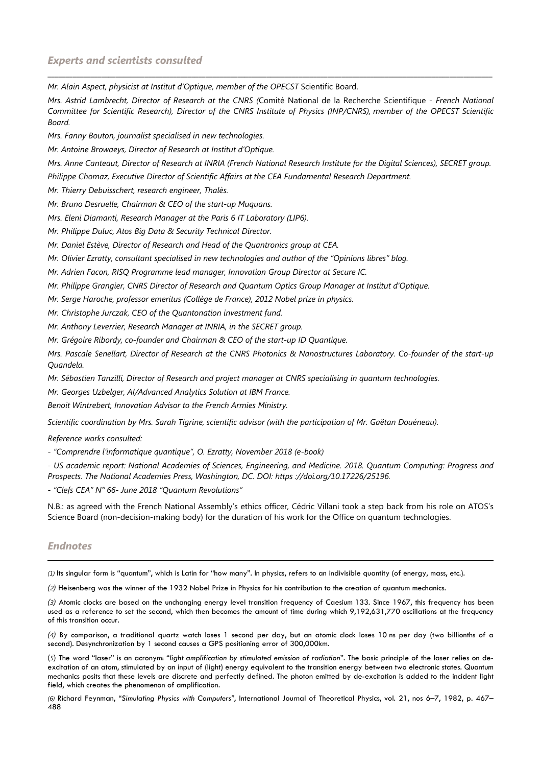*Mr. Alain Aspect, physicist at Institut d'Optique, member of the OPECST* Scientific Board.

*Mrs. Astrid Lambrecht, Director of Research at the CNRS (*Comité National de la Recherche Scientifique *- French National Committee for Scientific Research), Director of the CNRS Institute of Physics (INP/CNRS), member of the OPECST Scientific Board.* 

\_\_\_\_\_\_\_\_\_\_\_\_\_\_\_\_\_\_\_\_\_\_\_\_\_\_\_\_\_\_\_\_\_\_\_\_\_\_\_\_\_\_\_\_\_\_\_\_\_\_\_\_\_\_\_\_\_\_\_\_\_\_\_\_\_\_\_\_\_\_\_\_\_\_\_\_\_\_\_\_\_\_\_\_\_\_\_\_\_\_\_\_\_\_\_\_\_\_\_\_\_\_\_\_\_\_\_\_\_\_\_\_\_\_\_\_\_\_\_\_\_\_\_\_

*Mrs. Fanny Bouton, journalist specialised in new technologies.* 

*Mr. Antoine Browaeys, Director of Research at Institut d'Optique.* 

*Mrs. Anne Canteaut, Director of Research at INRIA (French National Research Institute for the Digital Sciences), SECRET group.* 

*Philippe Chomaz, Executive Director of Scientific Affairs at the CEA Fundamental Research Department.* 

*Mr. Thierry Debuisschert, research engineer, Thalès.* 

*Mr. Bruno Desruelle, Chairman & CEO of the start-up Muquans.* 

*Mrs. Eleni Diamanti, Research Manager at the Paris 6 IT Laboratory (LIP6).* 

*Mr. Philippe Duluc, Atos Big Data & Security Technical Director.* 

*Mr. Daniel Estève, Director of Research and Head of the Quantronics group at CEA.* 

*Mr. Olivier Ezratty, consultant specialised in new technologies and author of the "Opinions libres" blog.* 

*Mr. Adrien Facon, RISQ Programme lead manager, Innovation Group Director at Secure IC.* 

*Mr. Philippe Grangier, CNRS Director of Research and Quantum Optics Group Manager at Institut d'Optique.* 

*Mr. Serge Haroche, professor emeritus (Collège de France), 2012 Nobel prize in physics.* 

*Mr. Christophe Jurczak, CEO of the Quantonation investment fund.* 

*Mr. Anthony Leverrier, Research Manager at INRIA, in the SECRET group.* 

*Mr. Grégoire Ribordy, co-founder and Chairman & CEO of the start-up ID Quantique.* 

*Mrs. Pascale Senellart, Director of Research at the CNRS Photonics & Nanostructures Laboratory. Co-founder of the start-up Quandela.* 

*Mr. Sébastien Tanzilli, Director of Research and project manager at CNRS specialising in quantum technologies.* 

*Mr. Georges Uzbelger, AI/Advanced Analytics Solution at IBM France.* 

*Benoit Wintrebert, Innovation Advisor to the French Armies Ministry.* 

*Scientific coordination by Mrs. Sarah Tigrine, scientific advisor (with the participation of Mr. Gaëtan Douéneau).* 

*Reference works consulted:* 

*- "Comprendre l'informatique quantique", O. Ezratty, November 2018 (e-book)* 

*- US academic report: National Academies of Sciences, Engineering, and Medicine. 2018. Quantum Computing: Progress and Prospects. The National Academies Press, Washington, DC. DOI: https ://doi.org/10.17226/25196.* 

*- "Clefs CEA" N° 66- June 2018 "Quantum Revolutions"* 

N.B.: as agreed with the French National Assembly's ethics officer, Cédric Villani took a step back from his role on ATOS's Science Board (non-decision-making body) for the duration of his work for the Office on quantum technologies.

## *Endnotes*

 $\overline{a}$ 

*(1)* Its singular form is "quantum", which is Latin for "how many". In physics, refers to an indivisible quantity (of energy, mass, etc.).

*(2)* Heisenberg was the winner of the 1932 Nobel Prize in Physics for his contribution to the creation of quantum mechanics.

*(3)* Atomic clocks are based on the unchanging energy level transition frequency of Caesium 133. Since 1967, this frequency has been used as a reference to set the second, which then becomes the amount of time during which 9,192,631,770 oscillations at the frequency of this transition occur.

*(4)* By comparison, a traditional quartz watch loses 1 second per day, but an atomic clock loses 10 ns per day (two billionths of a second). Desynchronization by 1 second causes a GPS positioning error of 300,000km.

(*5*) The word "laser" is an acronym: "*light amplification by stimulated emission of radiation*". The basic principle of the laser relies on deexcitation of an atom, stimulated by an input of (light) energy equivalent to the transition energy between two electronic states. Quantum mechanics posits that these levels are discrete and perfectly defined. The photon emitted by de-excitation is added to the incident light field, which creates the phenomenon of amplification.

*(6)* Richard Feynman, "*Simulating Physics with Computers"*, International Journal of Theoretical Physics, vol. 21, nos 6–7, 1982, p. 467– 488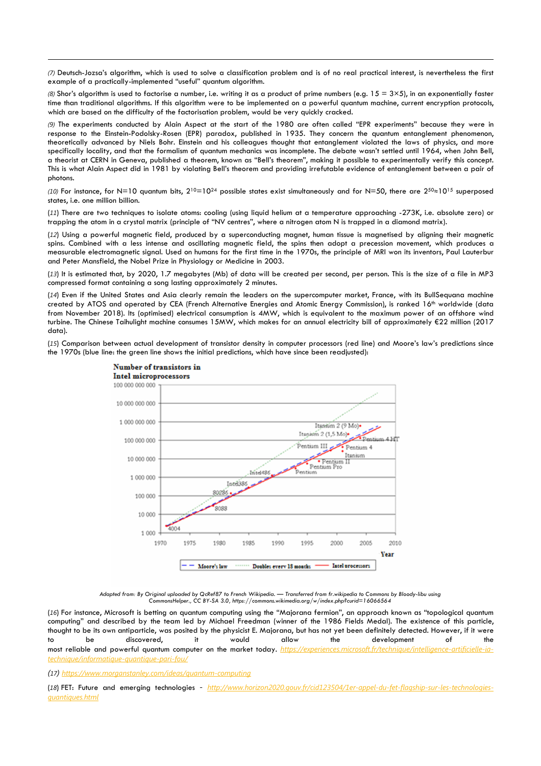*(7)* Deutsch-Jozsa's algorithm, which is used to solve a classification problem and is of no real practical interest, is nevertheless the first example of a practically-implemented "useful" quantum algorithm.

(8) Shor's algorithm is used to factorise a number, i.e. writing it as a product of prime numbers (e.g.  $15 = 3 \times 5$ ), in an exponentially faster time than traditional algorithms. If this algorithm were to be implemented on a powerful quantum machine, current encryption protocols, which are based on the difficulty of the factorisation problem, would be very quickly cracked.

*(9)* The experiments conducted by Alain Aspect at the start of the 1980 are often called "EPR experiments" because they were in response to the Einstein-Podolsky-Rosen (EPR) paradox, published in 1935. They concern the quantum entanglement phenomenon, theoretically advanced by Niels Bohr. Einstein and his colleagues thought that entanglement violated the laws of physics, and more specifically locality, and that the formalism of quantum mechanics was incomplete. The debate wasn't settled until 1964, when John Bell, a theorist at CERN in Geneva, published a theorem, known as "Bell's theorem", making it possible to experimentally verify this concept. This is what Alain Aspect did in 1981 by violating Bell's theorem and providing irrefutable evidence of entanglement between a pair of photons.

*(10)* For instance, for N=10 quantum bits, 210=1024 possible states exist simultaneously and for N=50, there are 250≈1015 superposed states, i.e. one million billion.

(*11*) There are two techniques to isolate atoms: cooling (using liquid helium at a temperature approaching -273K, i.e. absolute zero) or trapping the atom in a crystal matrix (principle of "NV centres", where a nitrogen atom N is trapped in a diamond matrix).

(*12*) Using a powerful magnetic field, produced by a superconducting magnet, human tissue is magnetised by aligning their magnetic spins. Combined with a less intense and oscillating magnetic field, the spins then adopt a precession movement, which produces a measurable electromagnetic signal. Used on humans for the first time in the 1970s, the principle of MRI won its inventors, Paul Lauterbur and Peter Mansfield, the Nobel Prize in Physiology or Medicine in 2003.

(*13*) It is estimated that, by 2020, 1.7 megabytes (Mb) of data will be created per second, per person. This is the size of a file in MP3 compressed format containing a song lasting approximately 2 minutes.

(*14*) Even if the United States and Asia clearly remain the leaders on the supercomputer market, France, with its BullSequana machine created by ATOS and operated by CEA (French Alternative Energies and Atomic Energy Commission), is ranked 16<sup>th</sup> worldwide (data from November 2018). Its (optimised) electrical consumption is 4MW, which is equivalent to the maximum power of an offshore wind turbine. The Chinese Taihulight machine consumes 15MW, which makes for an annual electricity bill of approximately €22 million (2017 data).

(*15*) Comparison between actual development of transistor density in computer processors (red line) and Moore's law's predictions since the 1970s (blue line: the green line shows the initial predictions, which have since been readjusted):



*Adapted from: By Original uploaded by QcRef87 to French Wikipedia. — Transferred from fr.wikipedia to Commons by Bloody-libu using CommonsHelper., CC BY-SA 3.0, https://commons.wikimedia.org/w/index.php?curid=16066564* 

(*16*) For instance, Microsoft is betting on quantum computing using the "Majorana fermion", an approach known as "topological quantum computing" and described by the team led by Michael Freedman (winner of the 1986 Fields Medal). The existence of this particle, thought to be its own antiparticle, was posited by the physicist E. Majorana, but has not yet been definitely detected. However, if it were to be discovered, it would allow the development of the most reliable and powerful quantum computer on the market today. *https://experiences.microsoft.fr/technique/intelligence-artificielle-iatechnique/informatique-quantique-pari-fou/* 

*(17) https://www.morganstanley.com/ideas/quantum-computing*

(*18*) FET: Future and emerging technologies *- http://www.horizon2020.gouv.fr/cid123504/1er-appel-du-fet-flagship-sur-les-technologiesquantiques.html*